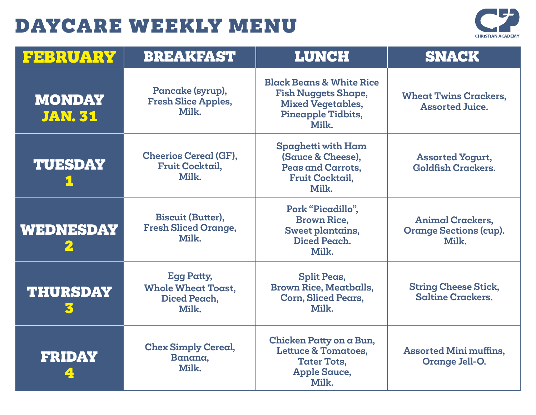

| <b>FEBRUARY</b>                 | <b>BREAKFAST</b>                                                        | <b>LUNCH</b>                                                                                                                 | <b>SNACK</b>                                                      |
|---------------------------------|-------------------------------------------------------------------------|------------------------------------------------------------------------------------------------------------------------------|-------------------------------------------------------------------|
| <b>MONDAY</b><br><b>JAN. 31</b> | Pancake (syrup),<br><b>Fresh Slice Apples,</b><br>Milk.                 | <b>Black Beans &amp; White Rice</b><br><b>Fish Nuggets Shape,</b><br><b>Mixed Vegetables,</b><br>Pineapple Tidbits,<br>Milk. | <b>Wheat Twins Crackers,</b><br><b>Assorted Juice.</b>            |
| <b>TUESDAY</b>                  | <b>Cheerios Cereal (GF),</b><br>Fruit Cocktail,<br>Milk.                | Spaghetti with Ham<br>(Sauce & Cheese),<br>Peas and Carrots,<br><b>Fruit Cocktail,</b><br>Milk.                              | <b>Assorted Yogurt,</b><br><b>Goldfish Crackers.</b>              |
| <b>WEDNESDAY</b>                | <b>Biscuit (Butter),</b><br><b>Fresh Sliced Orange,</b><br>Milk.        | Pork "Picadillo",<br><b>Brown Rice,</b><br>Sweet plantains,<br>Diced Peach.<br>Milk.                                         | <b>Animal Crackers,</b><br><b>Orange Sections (cup).</b><br>Milk. |
| <b>THURSDAY</b>                 | <b>Egg Patty,</b><br><b>Whole Wheat Toast.</b><br>Diced Peach,<br>Milk. | <b>Split Peas,</b><br><b>Brown Rice, Meatballs,</b><br><b>Corn, Sliced Pears,</b><br>Milk.                                   | <b>String Cheese Stick,</b><br><b>Saltine Crackers.</b>           |
| <b>FRIDAY</b>                   | <b>Chex Simply Cereal,</b><br>Banana,<br>Milk.                          | Chicken Patty on a Bun,<br><b>Lettuce &amp; Tomatoes,</b><br><b>Tater Tots,</b><br><b>Apple Sauce,</b><br>Milk.              | <b>Assorted Mini muffins,</b><br>Orange Jell-O.                   |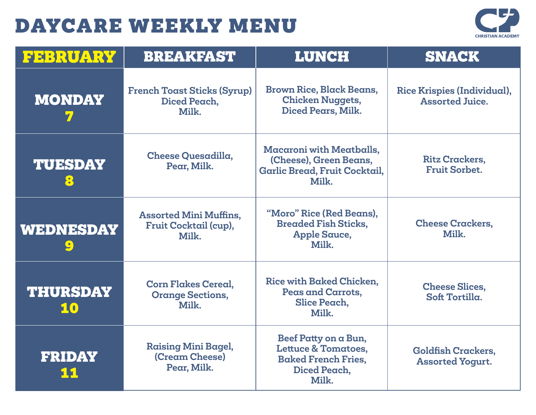

| FEBRUARY              | <b>BREAKFAST</b>                                                | <b>LUNCH</b>                                                                                                  | <b>SNACK</b>                                          |
|-----------------------|-----------------------------------------------------------------|---------------------------------------------------------------------------------------------------------------|-------------------------------------------------------|
| <b>MONDAY</b>         | <b>French Toast Sticks (Syrup)</b><br>Diced Peach,<br>Milk.     | <b>Brown Rice, Black Beans,</b><br><b>Chicken Nuggets,</b><br>Diced Pears, Milk.                              | Rice Krispies (Individual),<br><b>Assorted Juice.</b> |
| <b>TUESDAY</b><br>8   | <b>Cheese Quesadilla,</b><br>Pear, Milk.                        | <b>Macaroni with Meatballs,</b><br>(Cheese), Green Beans,<br>Garlic Bread, Fruit Cocktail,<br>Milk.           | <b>Ritz Crackers.</b><br><b>Fruit Sorbet.</b>         |
| WEDNESDAY             | <b>Assorted Mini Muffins,</b><br>Fruit Cocktail (cup),<br>Milk. | "Moro" Rice (Red Beans),<br><b>Breaded Fish Sticks,</b><br><b>Apple Sauce,</b><br>Milk.                       | <b>Cheese Crackers,</b><br>Milk.                      |
| <b>THURSDAY</b><br>10 | <b>Corn Flakes Cereal,</b><br><b>Orange Sections,</b><br>Milk.  | Rice with Baked Chicken,<br>Peas and Carrots,<br>Slice Peach,<br>Milk.                                        | <b>Cheese Slices,</b><br>Soft Tortilla.               |
| <b>FRIDAY</b>         | <b>Raising Mini Bagel,</b><br>(Cream Cheese)<br>Pear, Milk.     | Beef Patty on a Bun,<br><b>Lettuce &amp; Tomatoes,</b><br><b>Baked French Fries,</b><br>Diced Peach,<br>Milk. | <b>Goldfish Crackers,</b><br><b>Assorted Yogurt.</b>  |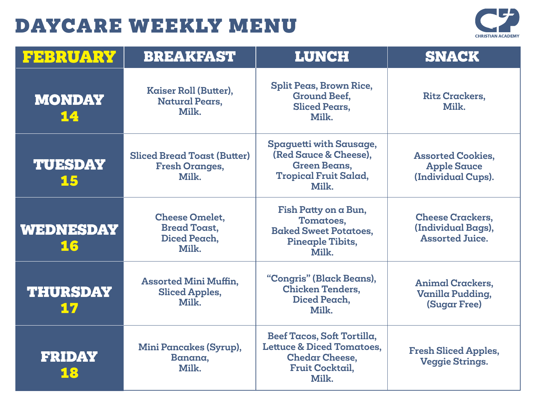

| FEBRUARY              | <b>BREAKFAST</b>                                                      | <b>LUNCH</b>                                                                                                                   | <b>SNACK</b>                                                            |
|-----------------------|-----------------------------------------------------------------------|--------------------------------------------------------------------------------------------------------------------------------|-------------------------------------------------------------------------|
| <b>MONDAY</b><br>14   | Kaiser Roll (Butter),<br><b>Natural Pears,</b><br>Milk.               | <b>Split Peas, Brown Rice,</b><br><b>Ground Beef,</b><br><b>Sliced Pears.</b><br>Milk.                                         | <b>Ritz Crackers,</b><br>Milk.                                          |
| <b>TUESDAY</b><br>15  | <b>Sliced Bread Toast (Butter)</b><br><b>Fresh Oranges,</b><br>Milk.  | Spaguetti with Sausage,<br>(Red Sauce & Cheese).<br><b>Green Beans,</b><br><b>Tropical Fruit Salad,</b><br>Milk.               | <b>Assorted Cookies,</b><br><b>Apple Sauce</b><br>(Individual Cups).    |
| WEDNESDAY<br>16       | <b>Cheese Omelet,</b><br><b>Bread Toast,</b><br>Diced Peach,<br>Milk. | Fish Patty on a Bun,<br>Tomatoes,<br><b>Baked Sweet Potatoes.</b><br>Pineaple Tibits,<br>Milk.                                 | <b>Cheese Crackers,</b><br>(Individual Bags),<br><b>Assorted Juice.</b> |
| <b>THURSDAY</b><br>17 | <b>Assorted Mini Muffin,</b><br><b>Sliced Apples,</b><br>Milk.        | "Congris" (Black Beans),<br><b>Chicken Tenders,</b><br>Diced Peach,<br>Milk.                                                   | <b>Animal Crackers,</b><br>Vanilla Pudding,<br><b>(Sugar Free)</b>      |
| <b>FRIDAY</b><br>18   | <b>Mini Pancakes (Syrup),</b><br>Banana,<br>Milk.                     | Beef Tacos, Soft Tortilla,<br><b>Lettuce &amp; Diced Tomatoes,</b><br><b>Chedar Cheese,</b><br><b>Fruit Cocktail,</b><br>Milk. | <b>Fresh Sliced Apples,</b><br><b>Veggie Strings.</b>                   |